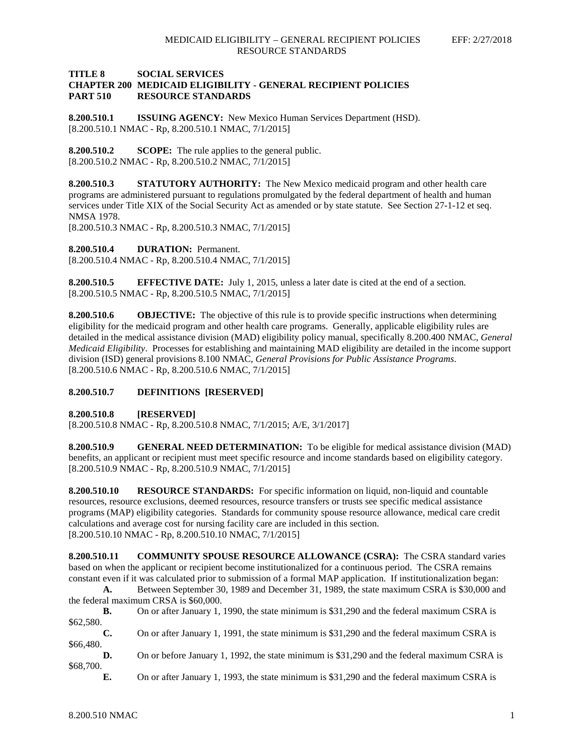## **TITLE 8 SOCIAL SERVICES CHAPTER 200 MEDICAID ELIGIBILITY - GENERAL RECIPIENT POLICIES PART 510 RESOURCE STANDARDS**

**8.200.510.1 ISSUING AGENCY:** New Mexico Human Services Department (HSD). [8.200.510.1 NMAC - Rp, 8.200.510.1 NMAC, 7/1/2015]

**8.200.510.2 SCOPE:** The rule applies to the general public. [8.200.510.2 NMAC - Rp, 8.200.510.2 NMAC, 7/1/2015]

**8.200.510.3 STATUTORY AUTHORITY:** The New Mexico medicaid program and other health care programs are administered pursuant to regulations promulgated by the federal department of health and human services under Title XIX of the Social Security Act as amended or by state statute. See Section 27-1-12 et seq. NMSA 1978.

[8.200.510.3 NMAC - Rp, 8.200.510.3 NMAC, 7/1/2015]

**8.200.510.4 DURATION:** Permanent.

[8.200.510.4 NMAC - Rp, 8.200.510.4 NMAC, 7/1/2015]

**8.200.510.5 EFFECTIVE DATE:** July 1, 2015, unless a later date is cited at the end of a section. [8.200.510.5 NMAC - Rp, 8.200.510.5 NMAC, 7/1/2015]

**8.200.510.6 OBJECTIVE:** The objective of this rule is to provide specific instructions when determining eligibility for the medicaid program and other health care programs. Generally, applicable eligibility rules are detailed in the medical assistance division (MAD) eligibility policy manual, specifically 8.200.400 NMAC, *General Medicaid Eligibility*. Processes for establishing and maintaining MAD eligibility are detailed in the income support division (ISD) general provisions 8.100 NMAC, *General Provisions for Public Assistance Programs*. [8.200.510.6 NMAC - Rp, 8.200.510.6 NMAC, 7/1/2015]

## **8.200.510.7 DEFINITIONS [RESERVED]**

**8.200.510.8 [RESERVED]**

[8.200.510.8 NMAC - Rp, 8.200.510.8 NMAC, 7/1/2015; A/E, 3/1/2017]

**8.200.510.9 GENERAL NEED DETERMINATION:** To be eligible for medical assistance division (MAD) benefits, an applicant or recipient must meet specific resource and income standards based on eligibility category. [8.200.510.9 NMAC - Rp, 8.200.510.9 NMAC, 7/1/2015]

**8.200.510.10 RESOURCE STANDARDS:** For specific information on liquid, non-liquid and countable resources, resource exclusions, deemed resources, resource transfers or trusts see specific medical assistance programs (MAP) eligibility categories. Standards for community spouse resource allowance, medical care credit calculations and average cost for nursing facility care are included in this section. [8.200.510.10 NMAC - Rp, 8.200.510.10 NMAC, 7/1/2015]

**8.200.510.11 COMMUNITY SPOUSE RESOURCE ALLOWANCE (CSRA):** The CSRA standard varies based on when the applicant or recipient become institutionalized for a continuous period. The CSRA remains constant even if it was calculated prior to submission of a formal MAP application. If institutionalization began:

**A.** Between September 30, 1989 and December 31, 1989, the state maximum CSRA is \$30,000 and the federal maximum CRSA is \$60,000.

**B.** On or after January 1, 1990, the state minimum is \$31,290 and the federal maximum CSRA is \$62,580.

**C.** On or after January 1, 1991, the state minimum is \$31,290 and the federal maximum CSRA is \$66,480.

**D.** On or before January 1, 1992, the state minimum is \$31,290 and the federal maximum CSRA is \$68,700.

**E.** On or after January 1, 1993, the state minimum is \$31,290 and the federal maximum CSRA is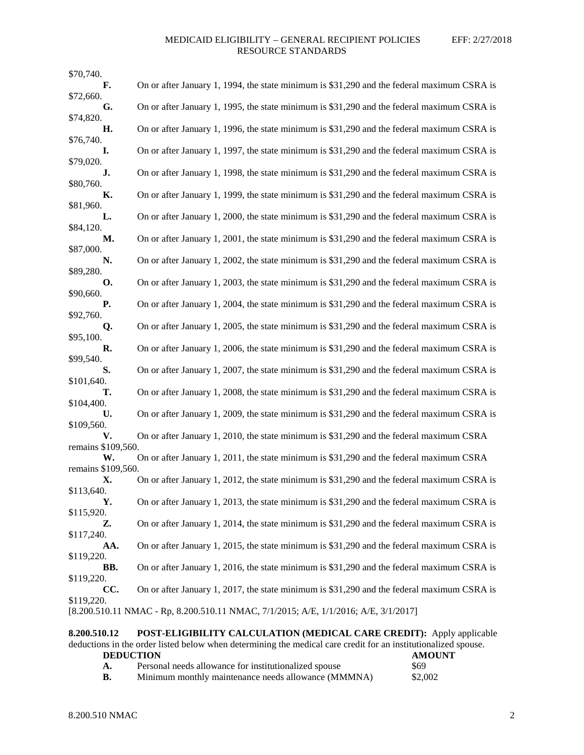| \$70,740.                                                                           |                                                                                            |  |  |  |
|-------------------------------------------------------------------------------------|--------------------------------------------------------------------------------------------|--|--|--|
| F.                                                                                  | On or after January 1, 1994, the state minimum is \$31,290 and the federal maximum CSRA is |  |  |  |
| \$72,660.<br>G.                                                                     | On or after January 1, 1995, the state minimum is \$31,290 and the federal maximum CSRA is |  |  |  |
| \$74,820.                                                                           |                                                                                            |  |  |  |
| Н.                                                                                  | On or after January 1, 1996, the state minimum is \$31,290 and the federal maximum CSRA is |  |  |  |
| \$76,740.                                                                           |                                                                                            |  |  |  |
| L.                                                                                  | On or after January 1, 1997, the state minimum is \$31,290 and the federal maximum CSRA is |  |  |  |
| \$79,020.<br>J.                                                                     | On or after January 1, 1998, the state minimum is \$31,290 and the federal maximum CSRA is |  |  |  |
| \$80,760.                                                                           |                                                                                            |  |  |  |
| К.                                                                                  | On or after January 1, 1999, the state minimum is \$31,290 and the federal maximum CSRA is |  |  |  |
| \$81,960.                                                                           | On or after January 1, 2000, the state minimum is \$31,290 and the federal maximum CSRA is |  |  |  |
| L.<br>\$84,120.                                                                     |                                                                                            |  |  |  |
| М.                                                                                  | On or after January 1, 2001, the state minimum is \$31,290 and the federal maximum CSRA is |  |  |  |
| \$87,000.                                                                           |                                                                                            |  |  |  |
| N.                                                                                  | On or after January 1, 2002, the state minimum is \$31,290 and the federal maximum CSRA is |  |  |  |
| \$89,280.<br><b>O.</b>                                                              | On or after January 1, 2003, the state minimum is \$31,290 and the federal maximum CSRA is |  |  |  |
| \$90,660.                                                                           |                                                                                            |  |  |  |
| Р.                                                                                  | On or after January 1, 2004, the state minimum is \$31,290 and the federal maximum CSRA is |  |  |  |
| \$92,760.                                                                           |                                                                                            |  |  |  |
| Q.                                                                                  | On or after January 1, 2005, the state minimum is \$31,290 and the federal maximum CSRA is |  |  |  |
| \$95,100.<br>R.                                                                     | On or after January 1, 2006, the state minimum is \$31,290 and the federal maximum CSRA is |  |  |  |
| \$99,540.                                                                           |                                                                                            |  |  |  |
| S.                                                                                  | On or after January 1, 2007, the state minimum is \$31,290 and the federal maximum CSRA is |  |  |  |
| \$101,640.                                                                          |                                                                                            |  |  |  |
| т.                                                                                  | On or after January 1, 2008, the state minimum is \$31,290 and the federal maximum CSRA is |  |  |  |
| \$104,400.<br>U.                                                                    | On or after January 1, 2009, the state minimum is \$31,290 and the federal maximum CSRA is |  |  |  |
| \$109,560.                                                                          |                                                                                            |  |  |  |
| V.                                                                                  | On or after January 1, 2010, the state minimum is \$31,290 and the federal maximum CSRA    |  |  |  |
| remains \$109,560.                                                                  |                                                                                            |  |  |  |
| W.<br>remains \$109,560.                                                            | On or after January 1, 2011, the state minimum is \$31,290 and the federal maximum CSRA    |  |  |  |
| Х.                                                                                  | On or after January 1, 2012, the state minimum is \$31,290 and the federal maximum CSRA is |  |  |  |
| \$113,640.                                                                          |                                                                                            |  |  |  |
| Y.                                                                                  | On or after January 1, 2013, the state minimum is \$31,290 and the federal maximum CSRA is |  |  |  |
| \$115,920.                                                                          |                                                                                            |  |  |  |
| Z.<br>\$117,240.                                                                    | On or after January 1, 2014, the state minimum is \$31,290 and the federal maximum CSRA is |  |  |  |
| AA.                                                                                 | On or after January 1, 2015, the state minimum is \$31,290 and the federal maximum CSRA is |  |  |  |
| \$119,220.                                                                          |                                                                                            |  |  |  |
| BB.                                                                                 | On or after January 1, 2016, the state minimum is \$31,290 and the federal maximum CSRA is |  |  |  |
| \$119,220.                                                                          |                                                                                            |  |  |  |
| CC.<br>\$119,220.                                                                   | On or after January 1, 2017, the state minimum is \$31,290 and the federal maximum CSRA is |  |  |  |
| [8.200.510.11 NMAC - Rp, 8.200.510.11 NMAC, 7/1/2015; A/E, 1/1/2016; A/E, 3/1/2017] |                                                                                            |  |  |  |
|                                                                                     |                                                                                            |  |  |  |

**8.200.510.12 POST-ELIGIBILITY CALCULATION (MEDICAL CARE CREDIT):** Apply applicable deductions in the order listed below when determining the medical care credit for an institutionalized spouse. **DEDUCTION**<br> **AMOUNT**<br> **A.** Personal needs allowance for institutionalized spouse \$69 Personal needs allowance for institutionalized spouse

| В. |  |  | Minimum monthly maintenance needs allowance (MMMNA) |  | \$2,002 |
|----|--|--|-----------------------------------------------------|--|---------|
|----|--|--|-----------------------------------------------------|--|---------|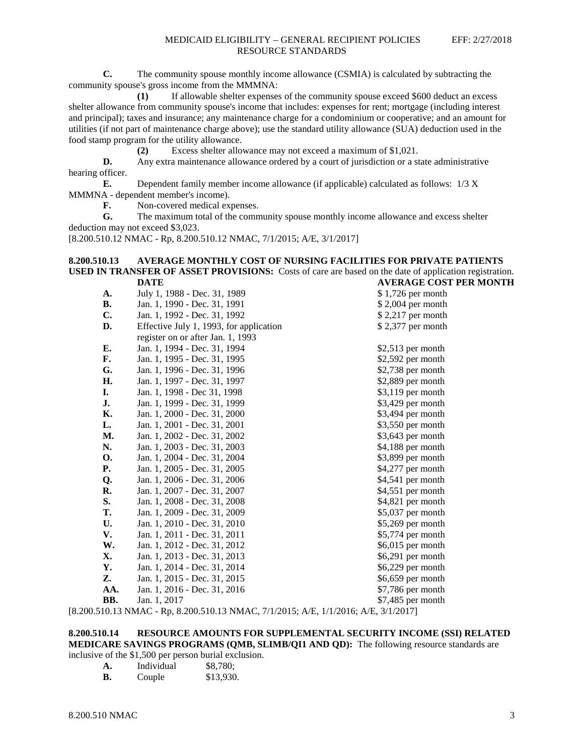**C.** The community spouse monthly income allowance (CSMIA) is calculated by subtracting the community spouse's gross income from the MMMNA:

**(1)** If allowable shelter expenses of the community spouse exceed \$600 deduct an excess shelter allowance from community spouse's income that includes: expenses for rent; mortgage (including interest and principal); taxes and insurance; any maintenance charge for a condominium or cooperative; and an amount for utilities (if not part of maintenance charge above); use the standard utility allowance (SUA) deduction used in the food stamp program for the utility allowance.

**(2)** Excess shelter allowance may not exceed a maximum of \$1,021.

**D.** Any extra maintenance allowance ordered by a court of jurisdiction or a state administrative hearing officer.

**E.** Dependent family member income allowance (if applicable) calculated as follows: 1/3 X MMMNA - dependent member's income).

**F.** Non-covered medical expenses.<br> **G.** The maximum total of the comm

**G.** The maximum total of the community spouse monthly income allowance and excess shelter deduction may not exceed \$3,023.

[8.200.510.12 NMAC - Rp, 8.200.510.12 NMAC, 7/1/2015; A/E, 3/1/2017]

### **8.200.510.13 AVERAGE MONTHLY COST OF NURSING FACILITIES FOR PRIVATE PATIENTS USED IN TRANSFER OF ASSET PROVISIONS:** Costs of care are based on the date of application registration. **DATE AVERAGE COST PER MONTH**

| A.        | July 1, 1988 - Dec. 31, 1989                                                                | \$1,726 per month  |
|-----------|---------------------------------------------------------------------------------------------|--------------------|
| <b>B.</b> | Jan. 1, 1990 - Dec. 31, 1991                                                                | \$2,004 per month  |
| C.        | Jan. 1, 1992 - Dec. 31, 1992                                                                | \$2,217 per month  |
| D.        | Effective July 1, 1993, for application                                                     | \$2,377 per month  |
|           | register on or after Jan. 1, 1993                                                           |                    |
| Е.        | Jan. 1, 1994 - Dec. 31, 1994                                                                | \$2,513 per month  |
| F.        | Jan. 1, 1995 - Dec. 31, 1995                                                                | $$2,592$ per month |
| G.        | Jan. 1, 1996 - Dec. 31, 1996                                                                | $$2,738$ per month |
| H.        | Jan. 1, 1997 - Dec. 31, 1997                                                                | \$2,889 per month  |
| I.        | Jan. 1, 1998 - Dec 31, 1998                                                                 | \$3,119 per month  |
| J.        | Jan. 1, 1999 - Dec. 31, 1999                                                                | \$3,429 per month  |
| Κ.        | Jan. 1, 2000 - Dec. 31, 2000                                                                | \$3,494 per month  |
| L.        | Jan. 1, 2001 - Dec. 31, 2001                                                                | \$3,550 per month  |
| M.        | Jan. 1, 2002 - Dec. 31, 2002                                                                | \$3,643 per month  |
| N.        | Jan. 1, 2003 - Dec. 31, 2003                                                                | \$4,188 per month  |
| <b>O.</b> | Jan. 1, 2004 - Dec. 31, 2004                                                                | \$3,899 per month  |
| Р.        | Jan. 1, 2005 - Dec. 31, 2005                                                                | \$4,277 per month  |
| Q.        | Jan. 1, 2006 - Dec. 31, 2006                                                                | \$4,541 per month  |
| R.        | Jan. 1, 2007 - Dec. 31, 2007                                                                | \$4,551 per month  |
| S.        | Jan. 1, 2008 - Dec. 31, 2008                                                                | \$4,821 per month  |
| <b>T.</b> | Jan. 1, 2009 - Dec. 31, 2009                                                                | \$5,037 per month  |
| U.        | Jan. 1, 2010 - Dec. 31, 2010                                                                | $$5,269$ per month |
| V.        | Jan. 1, 2011 - Dec. 31, 2011                                                                | \$5,774 per month  |
| W.        | Jan. 1, 2012 - Dec. 31, 2012                                                                | \$6,015 per month  |
| Х.        | Jan. 1, 2013 - Dec. 31, 2013                                                                | \$6,291 per month  |
| Y.        | Jan. 1, 2014 - Dec. 31, 2014                                                                | \$6,229 per month  |
| Z.        | Jan. 1, 2015 - Dec. 31, 2015                                                                | \$6,659 per month  |
| AA.       | Jan. 1, 2016 - Dec. 31, 2016                                                                | $$7,786$ per month |
| BB.       | Jan. 1, 2017                                                                                | \$7,485 per month  |
|           | $151012$ NMAC $P_{22}$ $P_{13}$ $P_{200}$ 510 12 NMAC 7/1/2015, A/E 1/1/2016, A/E 2/1/20171 |                    |

[8.200.510.13 NMAC - Rp, 8.200.510.13 NMAC, 7/1/2015; A/E, 1/1/2016; A/E, 3/1/2017]

# **8.200.510.14 RESOURCE AMOUNTS FOR SUPPLEMENTAL SECURITY INCOME (SSI) RELATED MEDICARE SAVINGS PROGRAMS (QMB, SLIMB/QI1 AND QD):** The following resource standards are

inclusive of the \$1,500 per person burial exclusion.

| A. | Individual | \$8,780;  |
|----|------------|-----------|
| В. | Couple     | \$13,930. |